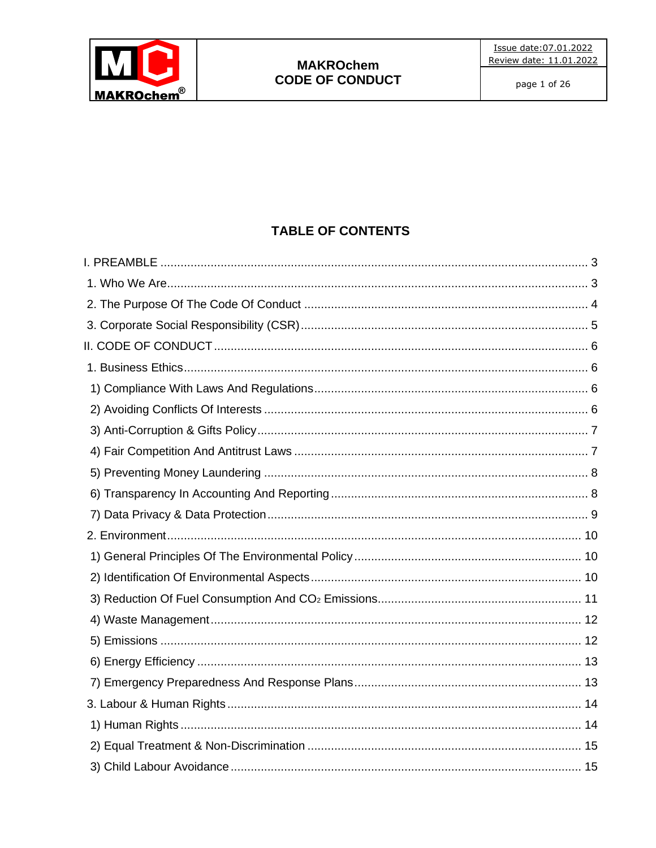# **TABLE OF CONTENTS**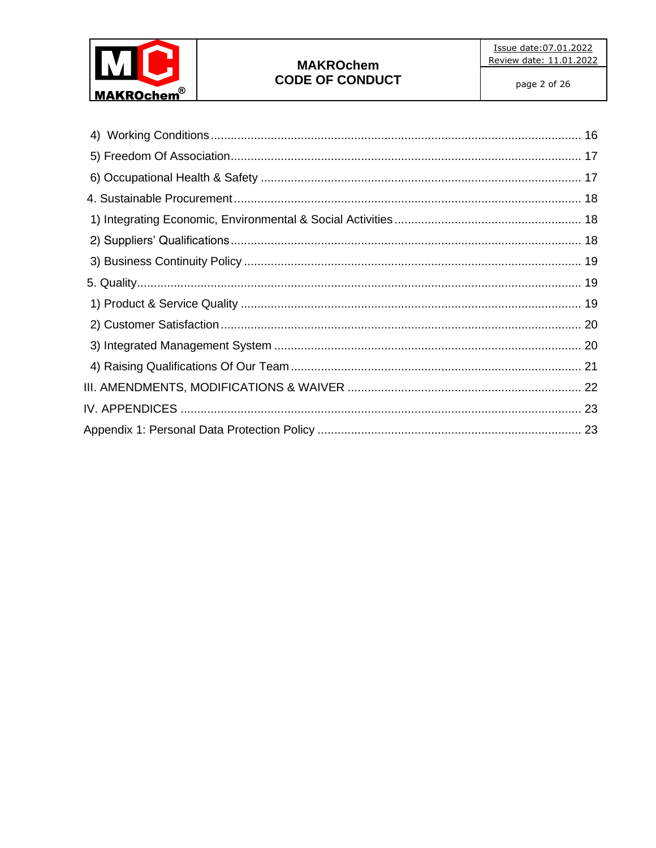

# **MAKROchem CODE OF CONDUCT**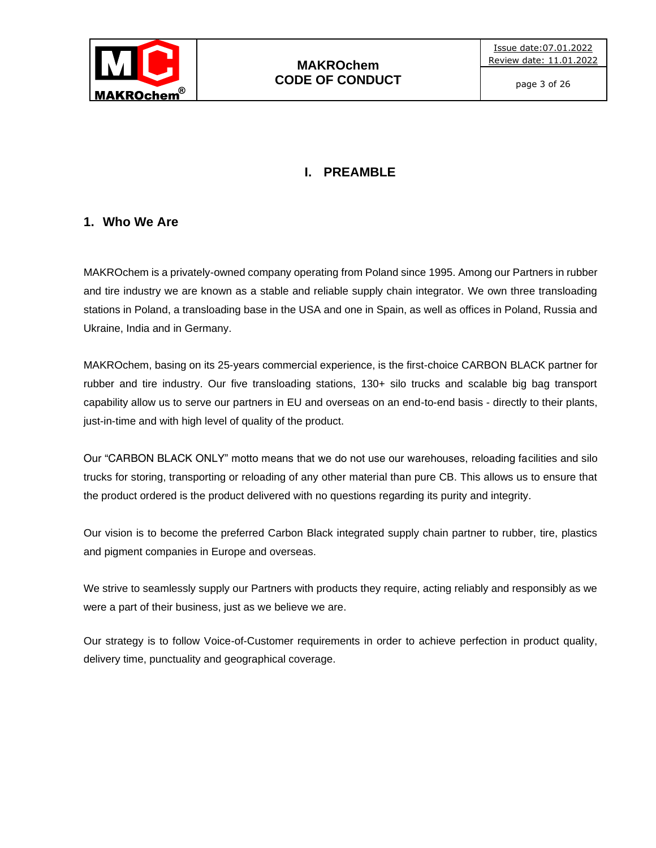

## **MAKROchem CODE OF CONDUCT**

# **I. PREAMBLE**

## <span id="page-2-1"></span><span id="page-2-0"></span>**1. Who We Are**

MAKROchem is a privately-owned company operating from Poland since 1995. Among our Partners in rubber and tire industry we are known as a stable and reliable supply chain integrator. We own three transloading stations in Poland, a transloading base in the USA and one in Spain, as well as offices in Poland, Russia and Ukraine, India and in Germany.

MAKROchem, basing on its 25-years commercial experience, is the first-choice CARBON BLACK partner for rubber and tire industry. Our five transloading stations, 130+ silo trucks and scalable big bag transport capability allow us to serve our partners in EU and overseas on an end-to-end basis - directly to their plants, just-in-time and with high level of quality of the product.

Our "CARBON BLACK ONLY" motto means that we do not use our warehouses, reloading facilities and silo trucks for storing, transporting or reloading of any other material than pure CB. This allows us to ensure that the product ordered is the product delivered with no questions regarding its purity and integrity.

Our vision is to become the preferred Carbon Black integrated supply chain partner to rubber, tire, plastics and pigment companies in Europe and overseas.

We strive to seamlessly supply our Partners with products they require, acting reliably and responsibly as we were a part of their business, just as we believe we are.

Our strategy is to follow Voice-of-Customer requirements in order to achieve perfection in product quality, delivery time, punctuality and geographical coverage.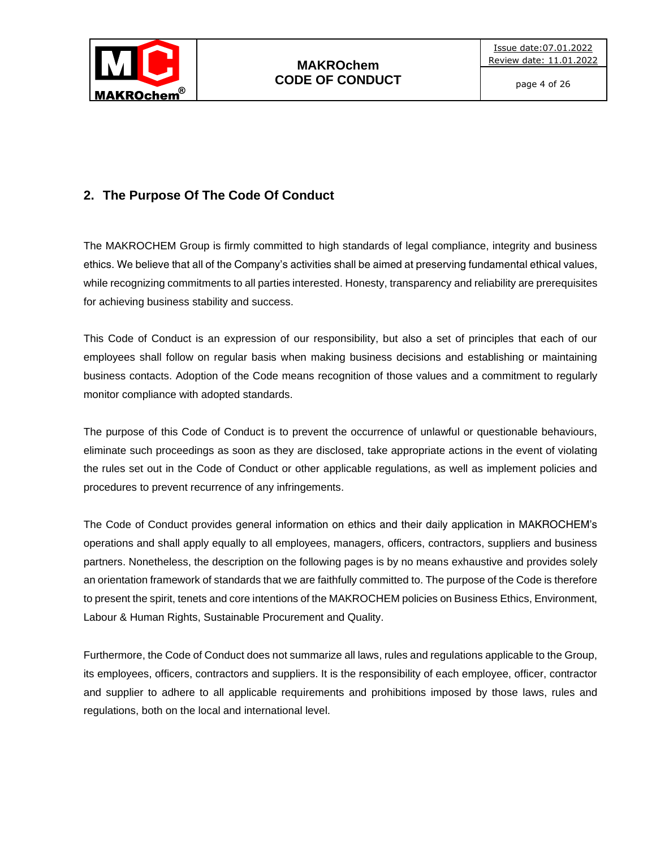

# <span id="page-3-0"></span>**2. The Purpose Of The Code Of Conduct**

The MAKROCHEM Group is firmly committed to high standards of legal compliance, integrity and business ethics. We believe that all of the Company's activities shall be aimed at preserving fundamental ethical values, while recognizing commitments to all parties interested. Honesty, transparency and reliability are prerequisites for achieving business stability and success.

This Code of Conduct is an expression of our responsibility, but also a set of principles that each of our employees shall follow on regular basis when making business decisions and establishing or maintaining business contacts. Adoption of the Code means recognition of those values and a commitment to regularly monitor compliance with adopted standards.

The purpose of this Code of Conduct is to prevent the occurrence of unlawful or questionable behaviours, eliminate such proceedings as soon as they are disclosed, take appropriate actions in the event of violating the rules set out in the Code of Conduct or other applicable regulations, as well as implement policies and procedures to prevent recurrence of any infringements.

The Code of Conduct provides general information on ethics and their daily application in MAKROCHEM's operations and shall apply equally to all employees, managers, officers, contractors, suppliers and business partners. Nonetheless, the description on the following pages is by no means exhaustive and provides solely an orientation framework of standards that we are faithfully committed to. The purpose of the Code is therefore to present the spirit, tenets and core intentions of the MAKROCHEM policies on Business Ethics, Environment, Labour & Human Rights, Sustainable Procurement and Quality.

Furthermore, the Code of Conduct does not summarize all laws, rules and regulations applicable to the Group, its employees, officers, contractors and suppliers. It is the responsibility of each employee, officer, contractor and supplier to adhere to all applicable requirements and prohibitions imposed by those laws, rules and regulations, both on the local and international level.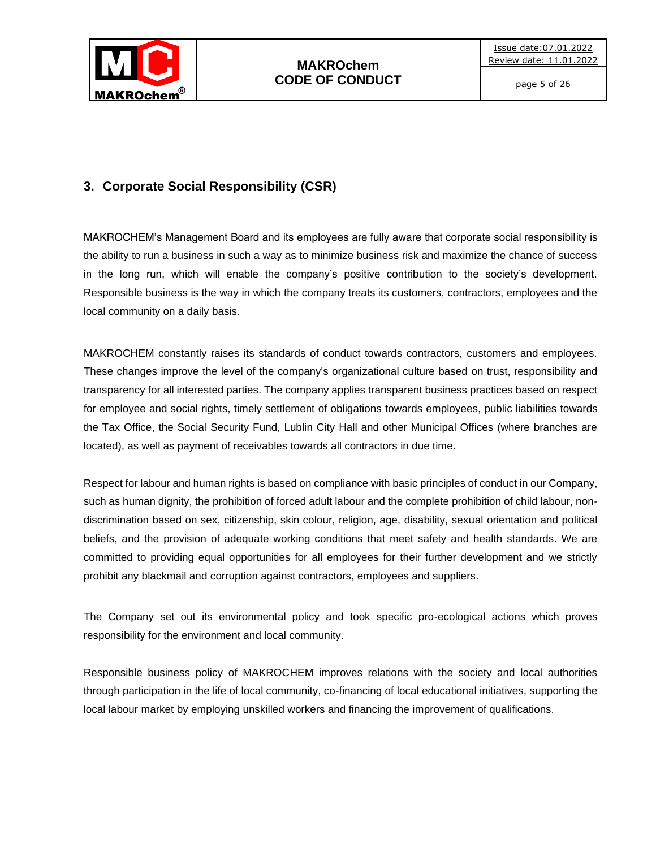

## <span id="page-4-0"></span>**3. Corporate Social Responsibility (CSR)**

MAKROCHEM's Management Board and its employees are fully aware that corporate social responsibility is the ability to run a business in such a way as to minimize business risk and maximize the chance of success in the long run, which will enable the company's positive contribution to the society's development. Responsible business is the way in which the company treats its customers, contractors, employees and the local community on a daily basis.

MAKROCHEM constantly raises its standards of conduct towards contractors, customers and employees. These changes improve the level of the company's organizational culture based on trust, responsibility and transparency for all interested parties. The company applies transparent business practices based on respect for employee and social rights, timely settlement of obligations towards employees, public liabilities towards the Tax Office, the Social Security Fund, Lublin City Hall and other Municipal Offices (where branches are located), as well as payment of receivables towards all contractors in due time.

Respect for labour and human rights is based on compliance with basic principles of conduct in our Company, such as human dignity, the prohibition of forced adult labour and the complete prohibition of child labour, nondiscrimination based on sex, citizenship, skin colour, religion, age, disability, sexual orientation and political beliefs, and the provision of adequate working conditions that meet safety and health standards. We are committed to providing equal opportunities for all employees for their further development and we strictly prohibit any blackmail and corruption against contractors, employees and suppliers.

The Company set out its environmental policy and took specific pro-ecological actions which proves responsibility for the environment and local community.

Responsible business policy of MAKROCHEM improves relations with the society and local authorities through participation in the life of local community, co-financing of local educational initiatives, supporting the local labour market by employing unskilled workers and financing the improvement of qualifications.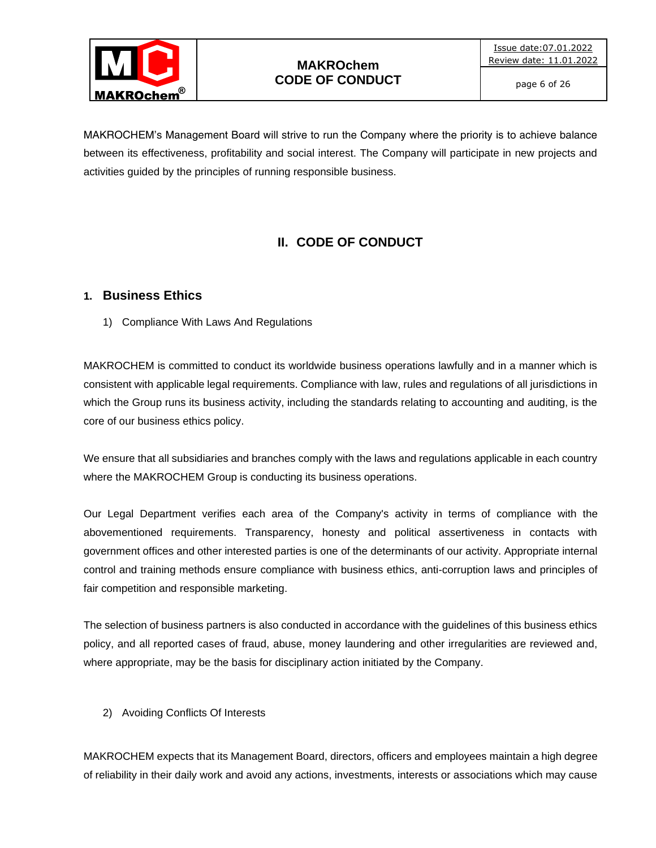

MAKROCHEM's Management Board will strive to run the Company where the priority is to achieve balance between its effectiveness, profitability and social interest. The Company will participate in new projects and activities guided by the principles of running responsible business.

# **II. CODE OF CONDUCT**

## <span id="page-5-2"></span><span id="page-5-1"></span><span id="page-5-0"></span>**1. Business Ethics**

1) Compliance With Laws And Regulations

MAKROCHEM is committed to conduct its worldwide business operations lawfully and in a manner which is consistent with applicable legal requirements. Compliance with law, rules and regulations of all jurisdictions in which the Group runs its business activity, including the standards relating to accounting and auditing, is the core of our business ethics policy.

We ensure that all subsidiaries and branches comply with the laws and regulations applicable in each country where the MAKROCHEM Group is conducting its business operations.

Our Legal Department verifies each area of the Company's activity in terms of compliance with the abovementioned requirements. Transparency, honesty and political assertiveness in contacts with government offices and other interested parties is one of the determinants of our activity. Appropriate internal control and training methods ensure compliance with business ethics, anti-corruption laws and principles of fair competition and responsible marketing.

The selection of business partners is also conducted in accordance with the guidelines of this business ethics policy, and all reported cases of fraud, abuse, money laundering and other irregularities are reviewed and, where appropriate, may be the basis for disciplinary action initiated by the Company.

<span id="page-5-3"></span>2) Avoiding Conflicts Of Interests

MAKROCHEM expects that its Management Board, directors, officers and employees maintain a high degree of reliability in their daily work and avoid any actions, investments, interests or associations which may cause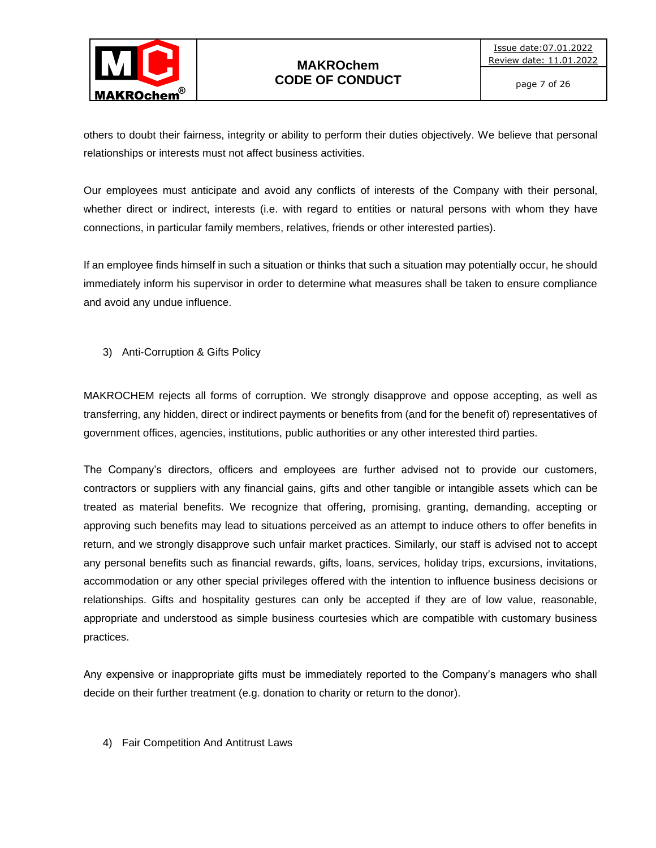

others to doubt their fairness, integrity or ability to perform their duties objectively. We believe that personal relationships or interests must not affect business activities.

Our employees must anticipate and avoid any conflicts of interests of the Company with their personal, whether direct or indirect, interests (i.e. with regard to entities or natural persons with whom they have connections, in particular family members, relatives, friends or other interested parties).

If an employee finds himself in such a situation or thinks that such a situation may potentially occur, he should immediately inform his supervisor in order to determine what measures shall be taken to ensure compliance and avoid any undue influence.

<span id="page-6-0"></span>3) Anti-Corruption & Gifts Policy

MAKROCHEM rejects all forms of corruption. We strongly disapprove and oppose accepting, as well as transferring, any hidden, direct or indirect payments or benefits from (and for the benefit of) representatives of government offices, agencies, institutions, public authorities or any other interested third parties.

The Company's directors, officers and employees are further advised not to provide our customers, contractors or suppliers with any financial gains, gifts and other tangible or intangible assets which can be treated as material benefits. We recognize that offering, promising, granting, demanding, accepting or approving such benefits may lead to situations perceived as an attempt to induce others to offer benefits in return, and we strongly disapprove such unfair market practices. Similarly, our staff is advised not to accept any personal benefits such as financial rewards, gifts, loans, services, holiday trips, excursions, invitations, accommodation or any other special privileges offered with the intention to influence business decisions or relationships. Gifts and hospitality gestures can only be accepted if they are of low value, reasonable, appropriate and understood as simple business courtesies which are compatible with customary business practices.

Any expensive or inappropriate gifts must be immediately reported to the Company's managers who shall decide on their further treatment (e.g. donation to charity or return to the donor).

<span id="page-6-1"></span>4) Fair Competition And Antitrust Laws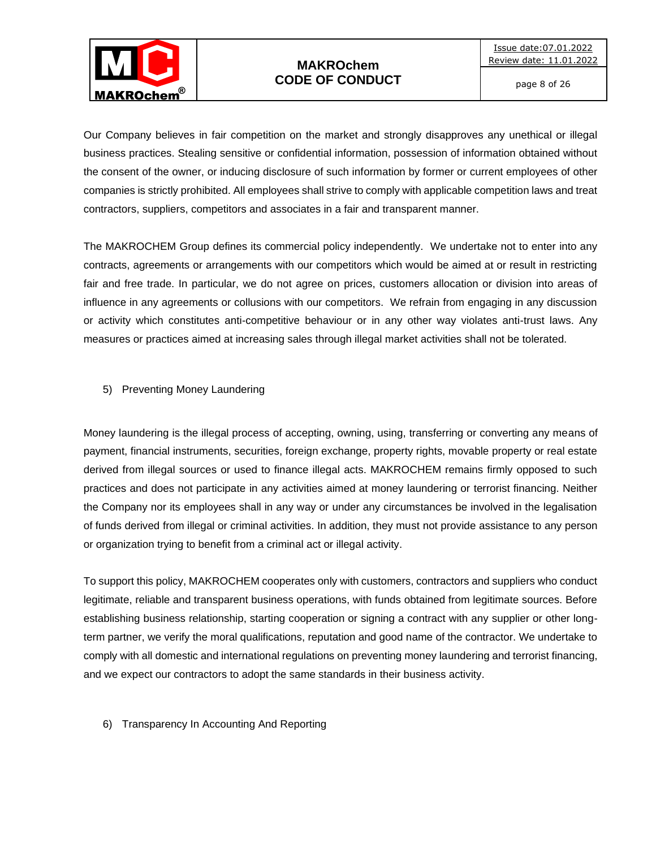

Our Company believes in fair competition on the market and strongly disapproves any unethical or illegal business practices. Stealing sensitive or confidential information, possession of information obtained without the consent of the owner, or inducing disclosure of such information by former or current employees of other companies is strictly prohibited. All employees shall strive to comply with applicable competition laws and treat contractors, suppliers, competitors and associates in a fair and transparent manner.

The MAKROCHEM Group defines its commercial policy independently. We undertake not to enter into any contracts, agreements or arrangements with our competitors which would be aimed at or result in restricting fair and free trade. In particular, we do not agree on prices, customers allocation or division into areas of influence in any agreements or collusions with our competitors. We refrain from engaging in any discussion or activity which constitutes anti-competitive behaviour or in any other way violates anti-trust laws. Any measures or practices aimed at increasing sales through illegal market activities shall not be tolerated.

<span id="page-7-0"></span>5) Preventing Money Laundering

Money laundering is the illegal process of accepting, owning, using, transferring or converting any means of payment, financial instruments, securities, foreign exchange, property rights, movable property or real estate derived from illegal sources or used to finance illegal acts. MAKROCHEM remains firmly opposed to such practices and does not participate in any activities aimed at money laundering or terrorist financing. Neither the Company nor its employees shall in any way or under any circumstances be involved in the legalisation of funds derived from illegal or criminal activities. In addition, they must not provide assistance to any person or organization trying to benefit from a criminal act or illegal activity.

To support this policy, MAKROCHEM cooperates only with customers, contractors and suppliers who conduct legitimate, reliable and transparent business operations, with funds obtained from legitimate sources. Before establishing business relationship, starting cooperation or signing a contract with any supplier or other longterm partner, we verify the moral qualifications, reputation and good name of the contractor. We undertake to comply with all domestic and international regulations on preventing money laundering and terrorist financing, and we expect our contractors to adopt the same standards in their business activity.

<span id="page-7-1"></span>6) Transparency In Accounting And Reporting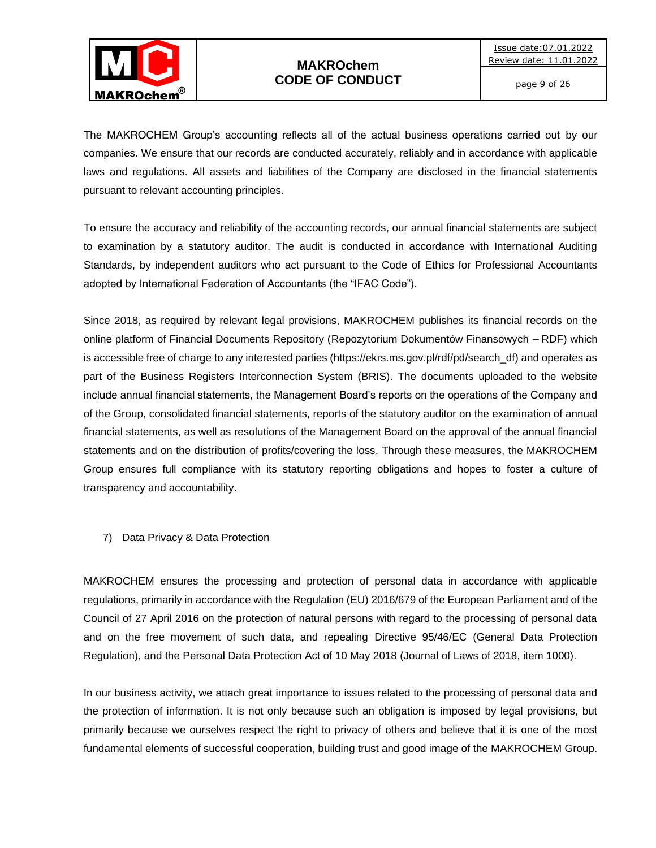

The MAKROCHEM Group's accounting reflects all of the actual business operations carried out by our companies. We ensure that our records are conducted accurately, reliably and in accordance with applicable laws and regulations. All assets and liabilities of the Company are disclosed in the financial statements pursuant to relevant accounting principles.

To ensure the accuracy and reliability of the accounting records, our annual financial statements are subject to examination by a statutory auditor. The audit is conducted in accordance with International Auditing Standards, by independent auditors who act pursuant to the Code of Ethics for Professional Accountants adopted by International Federation of Accountants (the "IFAC Code").

Since 2018, as required by relevant legal provisions, MAKROCHEM publishes its financial records on the online platform of Financial Documents Repository (*Repozytorium Dokumentów Finansowych – RDF*) which is accessible free of charge to any interested parties (https://ekrs.ms.gov.pl/rdf/pd/search\_df) and operates as part of the Business Registers Interconnection System (BRIS). The documents uploaded to the website include annual financial statements, the Management Board's reports on the operations of the Company and of the Group, consolidated financial statements, reports of the statutory auditor on the examination of annual financial statements, as well as resolutions of the Management Board on the approval of the annual financial statements and on the distribution of profits/covering the loss. Through these measures, the MAKROCHEM Group ensures full compliance with its statutory reporting obligations and hopes to foster a culture of transparency and accountability.

<span id="page-8-0"></span>7) Data Privacy & Data Protection

MAKROCHEM ensures the processing and protection of personal data in accordance with applicable regulations, primarily in accordance with the Regulation (EU) 2016/679 of the European Parliament and of the Council of 27 April 2016 on the protection of natural persons with regard to the processing of personal data and on the free movement of such data, and repealing Directive 95/46/EC (General Data Protection Regulation), and the Personal Data Protection Act of 10 May 2018 (Journal of Laws of 2018, item 1000).

In our business activity, we attach great importance to issues related to the processing of personal data and the protection of information. It is not only because such an obligation is imposed by legal provisions, but primarily because we ourselves respect the right to privacy of others and believe that it is one of the most fundamental elements of successful cooperation, building trust and good image of the MAKROCHEM Group.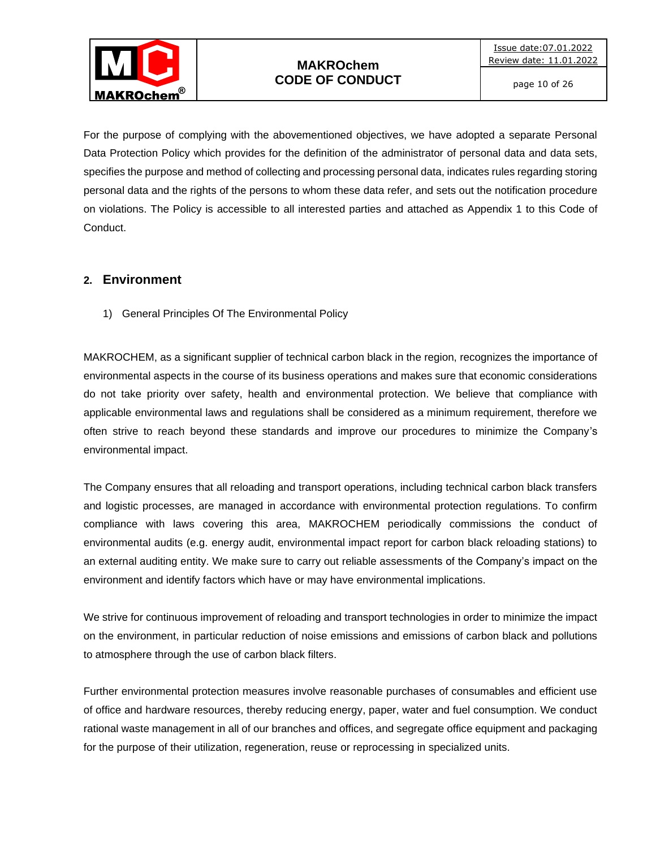

For the purpose of complying with the abovementioned objectives, we have adopted a separate Personal Data Protection Policy which provides for the definition of the administrator of personal data and data sets, specifies the purpose and method of collecting and processing personal data, indicates rules regarding storing personal data and the rights of the persons to whom these data refer, and sets out the notification procedure on violations. The Policy is accessible to all interested parties and attached as Appendix 1 to this Code of Conduct.

### <span id="page-9-0"></span>**2. Environment**

<span id="page-9-1"></span>1) General Principles Of The Environmental Policy

MAKROCHEM, as a significant supplier of technical carbon black in the region, recognizes the importance of environmental aspects in the course of its business operations and makes sure that economic considerations do not take priority over safety, health and environmental protection. We believe that compliance with applicable environmental laws and regulations shall be considered as a minimum requirement, therefore we often strive to reach beyond these standards and improve our procedures to minimize the Company's environmental impact.

The Company ensures that all reloading and transport operations, including technical carbon black transfers and logistic processes, are managed in accordance with environmental protection regulations. To confirm compliance with laws covering this area, MAKROCHEM periodically commissions the conduct of environmental audits (e.g. energy audit, environmental impact report for carbon black reloading stations) to an external auditing entity. We make sure to carry out reliable assessments of the Company's impact on the environment and identify factors which have or may have environmental implications.

We strive for continuous improvement of reloading and transport technologies in order to minimize the impact on the environment, in particular reduction of noise emissions and emissions of carbon black and pollutions to atmosphere through the use of carbon black filters.

Further environmental protection measures involve reasonable purchases of consumables and efficient use of office and hardware resources, thereby reducing energy, paper, water and fuel consumption. We conduct rational waste management in all of our branches and offices, and segregate office equipment and packaging for the purpose of their utilization, regeneration, reuse or reprocessing in specialized units.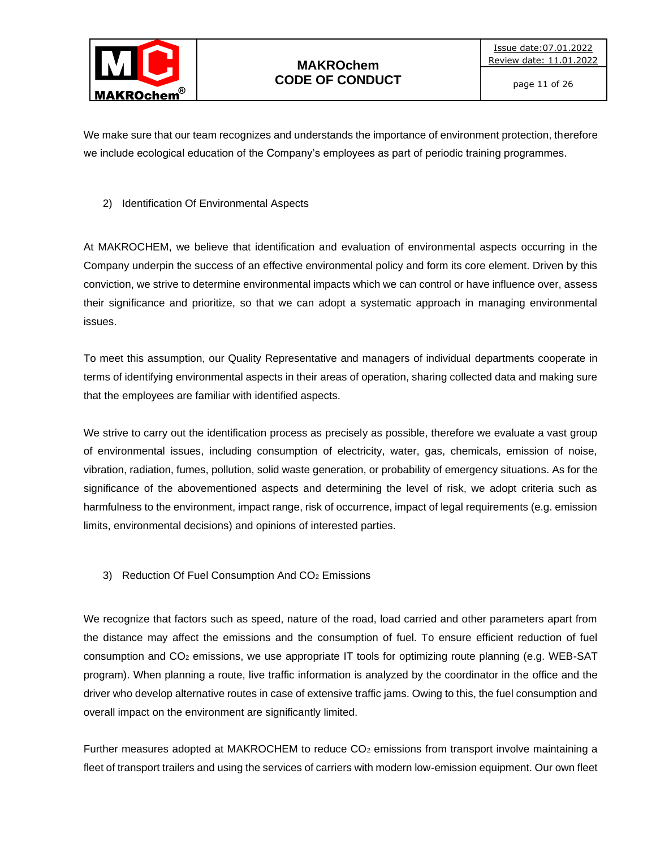

We make sure that our team recognizes and understands the importance of environment protection, therefore we include ecological education of the Company's employees as part of periodic training programmes.

<span id="page-10-0"></span>2) Identification Of Environmental Aspects

At MAKROCHEM, we believe that identification and evaluation of environmental aspects occurring in the Company underpin the success of an effective environmental policy and form its core element. Driven by this conviction, we strive to determine environmental impacts which we can control or have influence over, assess their significance and prioritize, so that we can adopt a systematic approach in managing environmental issues.

To meet this assumption, our Quality Representative and managers of individual departments cooperate in terms of identifying environmental aspects in their areas of operation, sharing collected data and making sure that the employees are familiar with identified aspects.

We strive to carry out the identification process as precisely as possible, therefore we evaluate a vast group of environmental issues, including consumption of electricity, water, gas, chemicals, emission of noise, vibration, radiation, fumes, pollution, solid waste generation, or probability of emergency situations. As for the significance of the abovementioned aspects and determining the level of risk, we adopt criteria such as harmfulness to the environment, impact range, risk of occurrence, impact of legal requirements (e.g. emission limits, environmental decisions) and opinions of interested parties.

<span id="page-10-1"></span>3) Reduction Of Fuel Consumption And CO<sub>2</sub> Emissions

We recognize that factors such as speed, nature of the road, load carried and other parameters apart from the distance may affect the emissions and the consumption of fuel. To ensure efficient reduction of fuel consumption and CO<sup>2</sup> emissions, we use appropriate IT tools for optimizing route planning (e.g. WEB-SAT program). When planning a route, live traffic information is analyzed by the coordinator in the office and the driver who develop alternative routes in case of extensive traffic jams. Owing to this, the fuel consumption and overall impact on the environment are significantly limited.

Further measures adopted at MAKROCHEM to reduce  $CO<sub>2</sub>$  emissions from transport involve maintaining a fleet of transport trailers and using the services of carriers with modern low-emission equipment. Our own fleet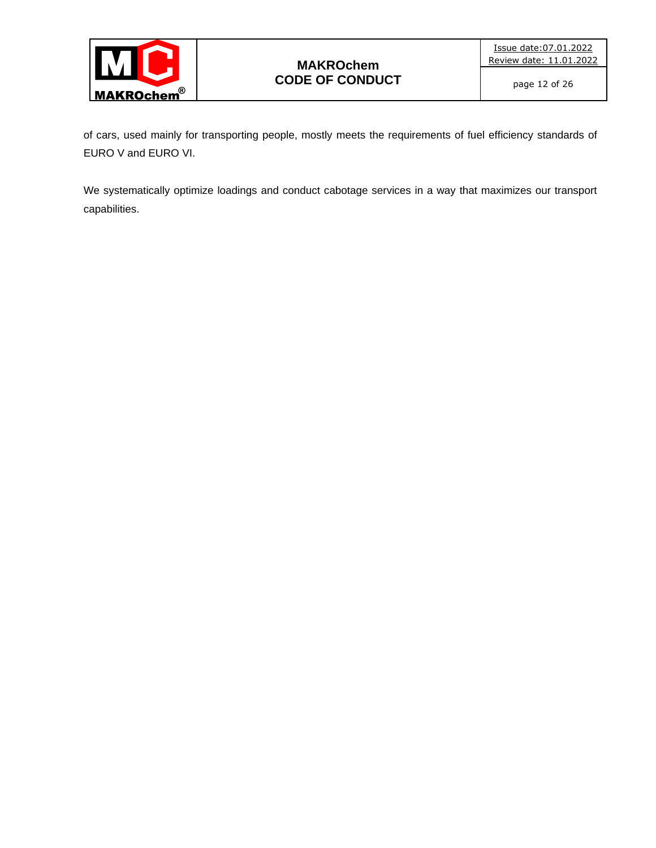

of cars, used mainly for transporting people, mostly meets the requirements of fuel efficiency standards of EURO V and EURO VI.

We systematically optimize loadings and conduct cabotage services in a way that maximizes our transport capabilities.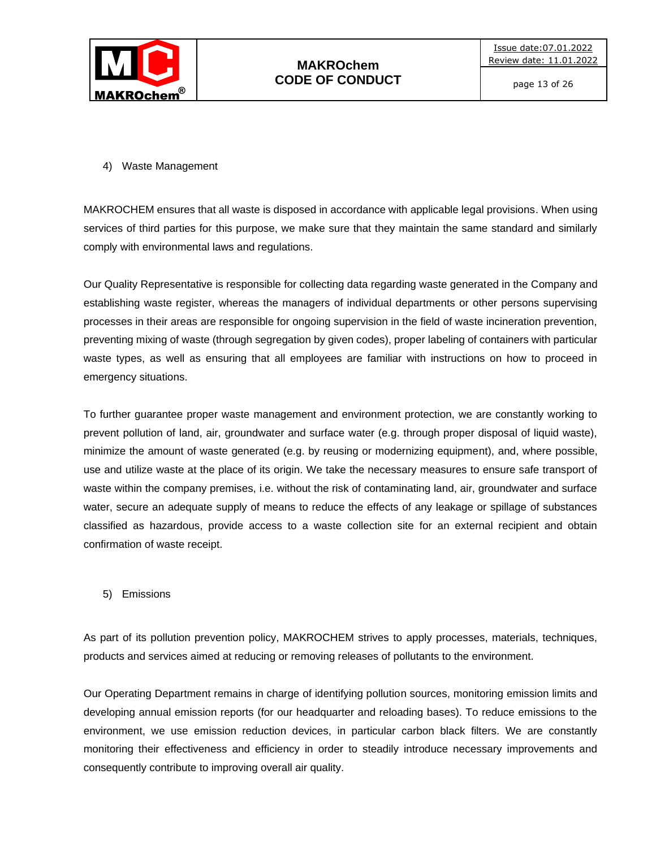

#### <span id="page-12-0"></span>4) Waste Management

MAKROCHEM ensures that all waste is disposed in accordance with applicable legal provisions. When using services of third parties for this purpose, we make sure that they maintain the same standard and similarly comply with environmental laws and regulations.

Our Quality Representative is responsible for collecting data regarding waste generated in the Company and establishing waste register, whereas the managers of individual departments or other persons supervising processes in their areas are responsible for ongoing supervision in the field of waste incineration prevention, preventing mixing of waste (through segregation by given codes), proper labeling of containers with particular waste types, as well as ensuring that all employees are familiar with instructions on how to proceed in emergency situations.

To further guarantee proper waste management and environment protection, we are constantly working to prevent pollution of land, air, groundwater and surface water (e.g. through proper disposal of liquid waste), minimize the amount of waste generated (e.g. by reusing or modernizing equipment), and, where possible, use and utilize waste at the place of its origin. We take the necessary measures to ensure safe transport of waste within the company premises, i.e. without the risk of contaminating land, air, groundwater and surface water, secure an adequate supply of means to reduce the effects of any leakage or spillage of substances classified as hazardous, provide access to a waste collection site for an external recipient and obtain confirmation of waste receipt.

#### <span id="page-12-1"></span>5) Emissions

As part of its pollution prevention policy, MAKROCHEM strives to apply processes, materials, techniques, products and services aimed at reducing or removing releases of pollutants to the environment.

Our Operating Department remains in charge of identifying pollution sources, monitoring emission limits and developing annual emission reports (for our headquarter and reloading bases). To reduce emissions to the environment, we use emission reduction devices, in particular carbon black filters. We are constantly monitoring their effectiveness and efficiency in order to steadily introduce necessary improvements and consequently contribute to improving overall air quality.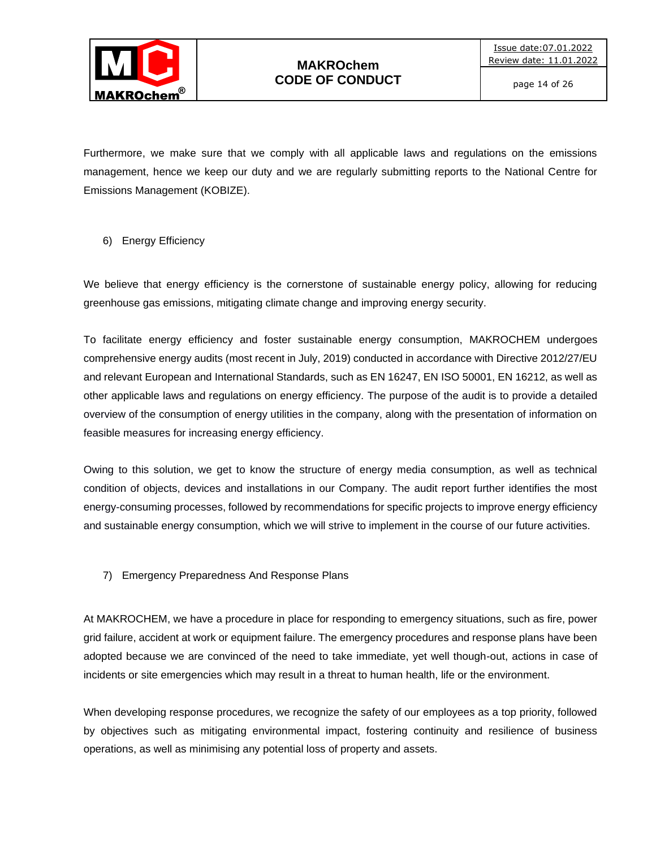

Furthermore, we make sure that we comply with all applicable laws and regulations on the emissions management, hence we keep our duty and we are regularly submitting reports to the National Centre for Emissions Management (KOBIZE).

<span id="page-13-0"></span>6) Energy Efficiency

We believe that energy efficiency is the cornerstone of sustainable energy policy, allowing for reducing greenhouse gas emissions, mitigating climate change and improving energy security.

To facilitate energy efficiency and foster sustainable energy consumption, MAKROCHEM undergoes comprehensive energy audits (most recent in July, 2019) conducted in accordance with Directive 2012/27/EU and relevant European and International Standards, such as EN 16247, EN ISO 50001, EN 16212, as well as other applicable laws and regulations on energy efficiency. The purpose of the audit is to provide a detailed overview of the consumption of energy utilities in the company, along with the presentation of information on feasible measures for increasing energy efficiency.

Owing to this solution, we get to know the structure of energy media consumption, as well as technical condition of objects, devices and installations in our Company. The audit report further identifies the most energy-consuming processes, followed by recommendations for specific projects to improve energy efficiency and sustainable energy consumption, which we will strive to implement in the course of our future activities.

<span id="page-13-1"></span>7) Emergency Preparedness And Response Plans

At MAKROCHEM, we have a procedure in place for responding to emergency situations, such as fire, power grid failure, accident at work or equipment failure. The emergency procedures and response plans have been adopted because we are convinced of the need to take immediate, yet well though-out, actions in case of incidents or site emergencies which may result in a threat to human health, life or the environment.

When developing response procedures, we recognize the safety of our employees as a top priority, followed by objectives such as mitigating environmental impact, fostering continuity and resilience of business operations, as well as minimising any potential loss of property and assets.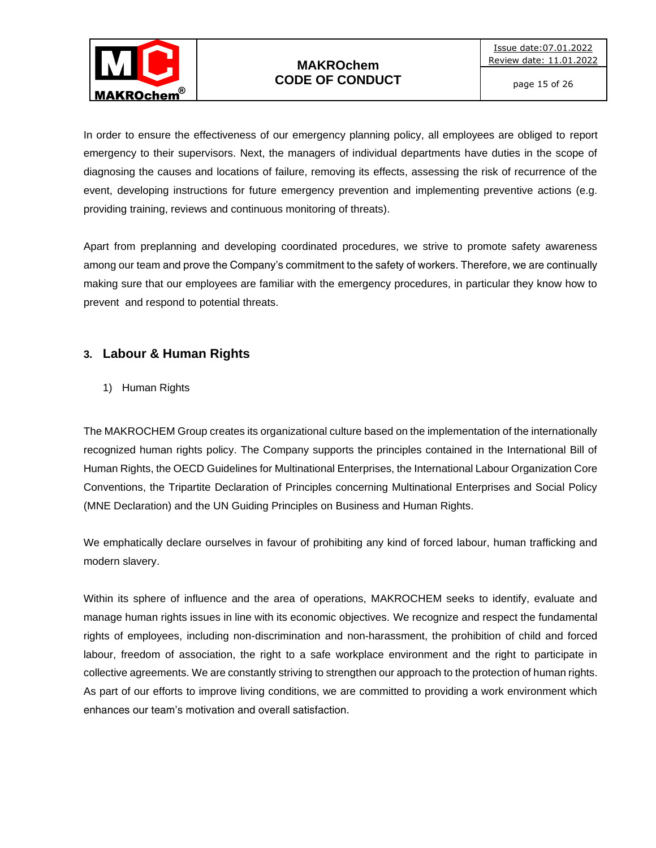

In order to ensure the effectiveness of our emergency planning policy, all employees are obliged to report emergency to their supervisors. Next, the managers of individual departments have duties in the scope of diagnosing the causes and locations of failure, removing its effects, assessing the risk of recurrence of the event, developing instructions for future emergency prevention and implementing preventive actions (e.g. providing training, reviews and continuous monitoring of threats).

Apart from preplanning and developing coordinated procedures, we strive to promote safety awareness among our team and prove the Company's commitment to the safety of workers. Therefore, we are continually making sure that our employees are familiar with the emergency procedures, in particular they know how to prevent and respond to potential threats.

## <span id="page-14-0"></span>**3. Labour & Human Rights**

<span id="page-14-1"></span>1) Human Rights

The MAKROCHEM Group creates its organizational culture based on the implementation of the internationally recognized human rights policy. The Company supports the principles contained in the International Bill of Human Rights, the OECD Guidelines for Multinational Enterprises, the International Labour Organization Core Conventions, the Tripartite Declaration of Principles concerning Multinational Enterprises and Social Policy (MNE Declaration) and the UN Guiding Principles on Business and Human Rights.

We emphatically declare ourselves in favour of prohibiting any kind of forced labour, human trafficking and modern slavery.

Within its sphere of influence and the area of operations, MAKROCHEM seeks to identify, evaluate and manage human rights issues in line with its economic objectives. We recognize and respect the fundamental rights of employees, including non-discrimination and non-harassment, the prohibition of child and forced labour, freedom of association, the right to a safe workplace environment and the right to participate in collective agreements. We are constantly striving to strengthen our approach to the protection of human rights. As part of our efforts to improve living conditions, we are committed to providing a work environment which enhances our team's motivation and overall satisfaction.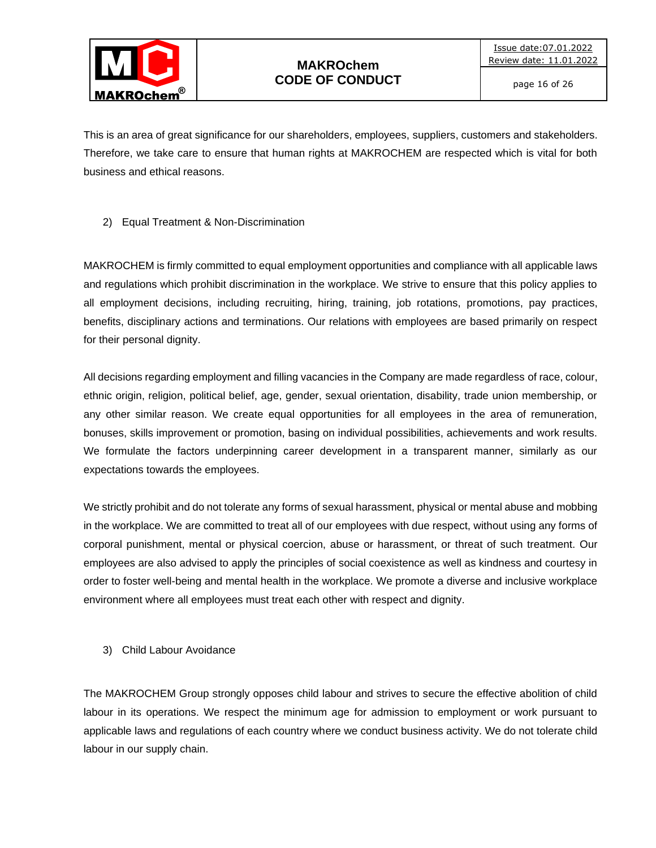

This is an area of great significance for our shareholders, employees, suppliers, customers and stakeholders. Therefore, we take care to ensure that human rights at MAKROCHEM are respected which is vital for both business and ethical reasons.

<span id="page-15-0"></span>2) Equal Treatment & Non-Discrimination

MAKROCHEM is firmly committed to equal employment opportunities and compliance with all applicable laws and regulations which prohibit discrimination in the workplace. We strive to ensure that this policy applies to all employment decisions, including recruiting, hiring, training, job rotations, promotions, pay practices, benefits, disciplinary actions and terminations. Our relations with employees are based primarily on respect for their personal dignity.

All decisions regarding employment and filling vacancies in the Company are made regardless of race, colour, ethnic origin, religion, political belief, age, gender, sexual orientation, disability, trade union membership, or any other similar reason. We create equal opportunities for all employees in the area of remuneration, bonuses, skills improvement or promotion, basing on individual possibilities, achievements and work results. We formulate the factors underpinning career development in a transparent manner, similarly as our expectations towards the employees.

We strictly prohibit and do not tolerate any forms of sexual harassment, physical or mental abuse and mobbing in the workplace. We are committed to treat all of our employees with due respect, without using any forms of corporal punishment, mental or physical coercion, abuse or harassment, or threat of such treatment. Our employees are also advised to apply the principles of social coexistence as well as kindness and courtesy in order to foster well-being and mental health in the workplace. We promote a diverse and inclusive workplace environment where all employees must treat each other with respect and dignity.

<span id="page-15-1"></span>3) Child Labour Avoidance

The MAKROCHEM Group strongly opposes child labour and strives to secure the effective abolition of child labour in its operations. We respect the minimum age for admission to employment or work pursuant to applicable laws and regulations of each country where we conduct business activity. We do not tolerate child labour in our supply chain.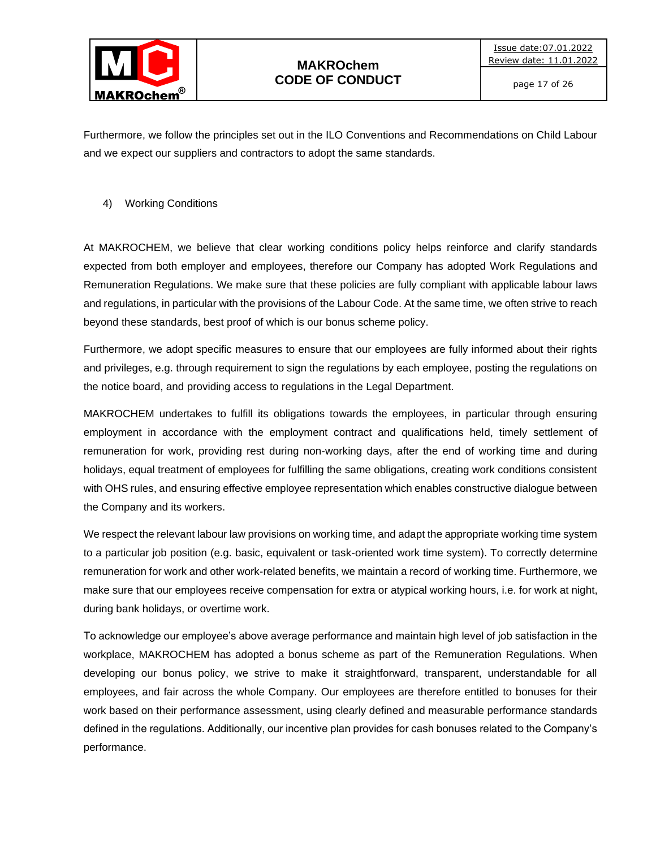

Furthermore, we follow the principles set out in the ILO Conventions and Recommendations on Child Labour and we expect our suppliers and contractors to adopt the same standards.

<span id="page-16-0"></span>4) Working Conditions

At MAKROCHEM, we believe that clear working conditions policy helps reinforce and clarify standards expected from both employer and employees, therefore our Company has adopted Work Regulations and Remuneration Regulations. We make sure that these policies are fully compliant with applicable labour laws and regulations, in particular with the provisions of the Labour Code. At the same time, we often strive to reach beyond these standards, best proof of which is our bonus scheme policy.

Furthermore, we adopt specific measures to ensure that our employees are fully informed about their rights and privileges, e.g. through requirement to sign the regulations by each employee, posting the regulations on the notice board, and providing access to regulations in the Legal Department.

MAKROCHEM undertakes to fulfill its obligations towards the employees, in particular through ensuring employment in accordance with the employment contract and qualifications held, timely settlement of remuneration for work, providing rest during non-working days, after the end of working time and during holidays, equal treatment of employees for fulfilling the same obligations, creating work conditions consistent with OHS rules, and ensuring effective employee representation which enables constructive dialogue between the Company and its workers.

We respect the relevant labour law provisions on working time, and adapt the appropriate working time system to a particular job position (e.g. basic, equivalent or task-oriented work time system). To correctly determine remuneration for work and other work-related benefits, we maintain a record of working time. Furthermore, we make sure that our employees receive compensation for extra or atypical working hours, i.e. for work at night, during bank holidays, or overtime work.

To acknowledge our employee's above average performance and maintain high level of job satisfaction in the workplace, MAKROCHEM has adopted a bonus scheme as part of the Remuneration Regulations. When developing our bonus policy, we strive to make it straightforward, transparent, understandable for all employees, and fair across the whole Company. Our employees are therefore entitled to bonuses for their work based on their performance assessment, using clearly defined and measurable performance standards defined in the regulations. Additionally, our incentive plan provides for cash bonuses related to the Company's performance.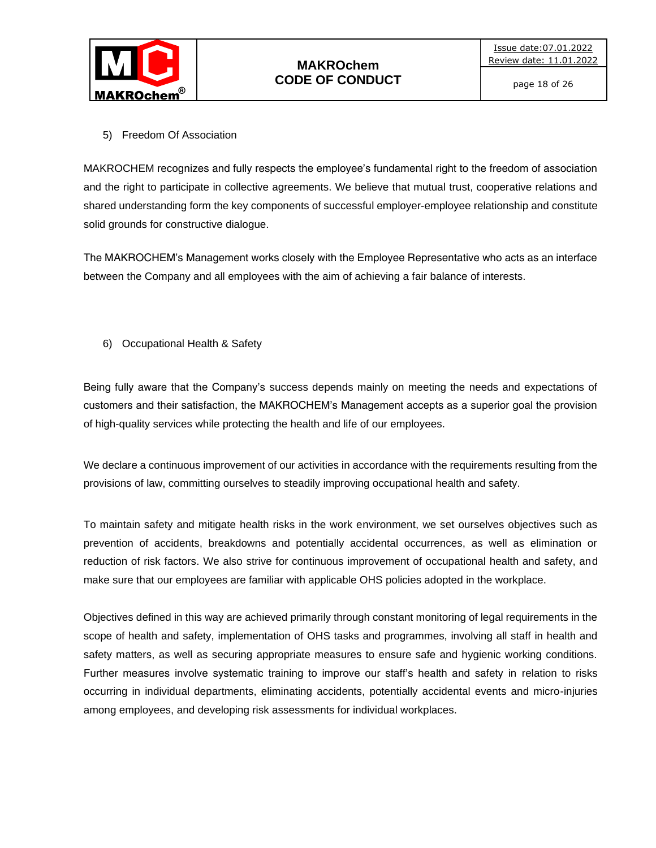

### <span id="page-17-0"></span>5) Freedom Of Association

MAKROCHEM recognizes and fully respects the employee's fundamental right to the freedom of association and the right to participate in collective agreements. We believe that mutual trust, cooperative relations and shared understanding form the key components of successful employer-employee relationship and constitute solid grounds for constructive dialogue.

The MAKROCHEM's Management works closely with the Employee Representative who acts as an interface between the Company and all employees with the aim of achieving a fair balance of interests.

<span id="page-17-1"></span>6) Occupational Health & Safety

Being fully aware that the Company's success depends mainly on meeting the needs and expectations of customers and their satisfaction, the MAKROCHEM's Management accepts as a superior goal the provision of high-quality services while protecting the health and life of our employees.

We declare a continuous improvement of our activities in accordance with the requirements resulting from the provisions of law, committing ourselves to steadily improving occupational health and safety.

To maintain safety and mitigate health risks in the work environment, we set ourselves objectives such as prevention of accidents, breakdowns and potentially accidental occurrences, as well as elimination or reduction of risk factors. We also strive for continuous improvement of occupational health and safety, and make sure that our employees are familiar with applicable OHS policies adopted in the workplace.

Objectives defined in this way are achieved primarily through constant monitoring of legal requirements in the scope of health and safety, implementation of OHS tasks and programmes, involving all staff in health and safety matters, as well as securing appropriate measures to ensure safe and hygienic working conditions. Further measures involve systematic training to improve our staff's health and safety in relation to risks occurring in individual departments, eliminating accidents, potentially accidental events and micro-injuries among employees, and developing risk assessments for individual workplaces.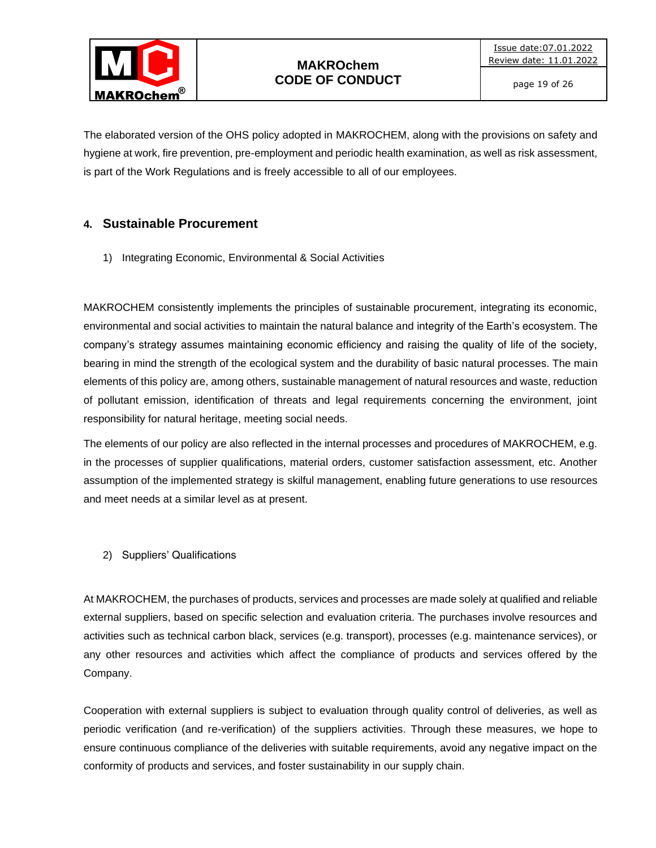

The elaborated version of the OHS policy adopted in MAKROCHEM, along with the provisions on safety and hygiene at work, fire prevention, pre-employment and periodic health examination, as well as risk assessment, is part of the Work Regulations and is freely accessible to all of our employees.

## <span id="page-18-0"></span>**4. Sustainable Procurement**

<span id="page-18-1"></span>1) Integrating Economic, Environmental & Social Activities

MAKROCHEM consistently implements the principles of sustainable procurement, integrating its economic, environmental and social activities to maintain the natural balance and integrity of the Earth's ecosystem. The company's strategy assumes maintaining economic efficiency and raising the quality of life of the society, bearing in mind the strength of the ecological system and the durability of basic natural processes. The main elements of this policy are, among others, sustainable management of natural resources and waste, reduction of pollutant emission, identification of threats and legal requirements concerning the environment, joint responsibility for natural heritage, meeting social needs.

The elements of our policy are also reflected in the internal processes and procedures of MAKROCHEM, e.g. in the processes of supplier qualifications, material orders, customer satisfaction assessment, etc. Another assumption of the implemented strategy is skilful management, enabling future generations to use resources and meet needs at a similar level as at present.

<span id="page-18-2"></span>2) Suppliers' Qualifications

At MAKROCHEM, the purchases of products, services and processes are made solely at qualified and reliable external suppliers, based on specific selection and evaluation criteria. The purchases involve resources and activities such as technical carbon black, services (e.g. transport), processes (e.g. maintenance services), or any other resources and activities which affect the compliance of products and services offered by the Company.

Cooperation with external suppliers is subject to evaluation through quality control of deliveries, as well as periodic verification (and re-verification) of the suppliers activities. Through these measures, we hope to ensure continuous compliance of the deliveries with suitable requirements, avoid any negative impact on the conformity of products and services, and foster sustainability in our supply chain.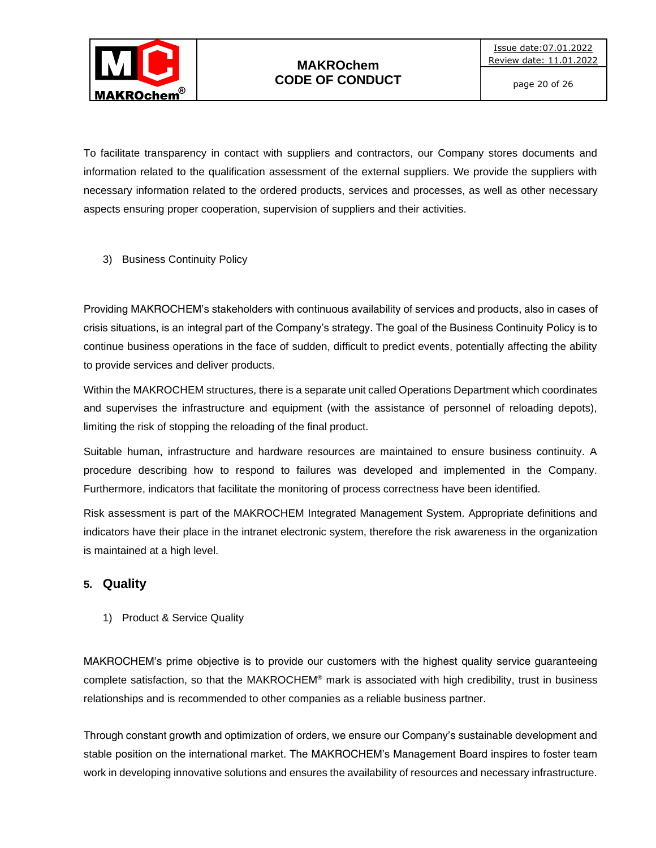

To facilitate transparency in contact with suppliers and contractors, our Company stores documents and information related to the qualification assessment of the external suppliers. We provide the suppliers with necessary information related to the ordered products, services and processes, as well as other necessary aspects ensuring proper cooperation, supervision of suppliers and their activities.

<span id="page-19-0"></span>3) Business Continuity Policy

Providing MAKROCHEM's stakeholders with continuous availability of services and products, also in cases of crisis situations, is an integral part of the Company's strategy. The goal of the Business Continuity Policy is to continue business operations in the face of sudden, difficult to predict events, potentially affecting the ability to provide services and deliver products.

Within the MAKROCHEM structures, there is a separate unit called Operations Department which coordinates and supervises the infrastructure and equipment (with the assistance of personnel of reloading depots), limiting the risk of stopping the reloading of the final product.

Suitable human, infrastructure and hardware resources are maintained to ensure business continuity. A procedure describing how to respond to failures was developed and implemented in the Company. Furthermore, indicators that facilitate the monitoring of process correctness have been identified.

Risk assessment is part of the MAKROCHEM Integrated Management System. Appropriate definitions and indicators have their place in the intranet electronic system, therefore the risk awareness in the organization is maintained at a high level.

## <span id="page-19-1"></span>**5. Quality**

<span id="page-19-2"></span>1) Product & Service Quality

MAKROCHEM's prime objective is to provide our customers with the highest quality service guaranteeing complete satisfaction, so that the MAKROCHEM® mark is associated with high credibility, trust in business relationships and is recommended to other companies as a reliable business partner.

Through constant growth and optimization of orders, we ensure our Company's sustainable development and stable position on the international market. The MAKROCHEM's Management Board inspires to foster team work in developing innovative solutions and ensures the availability of resources and necessary infrastructure.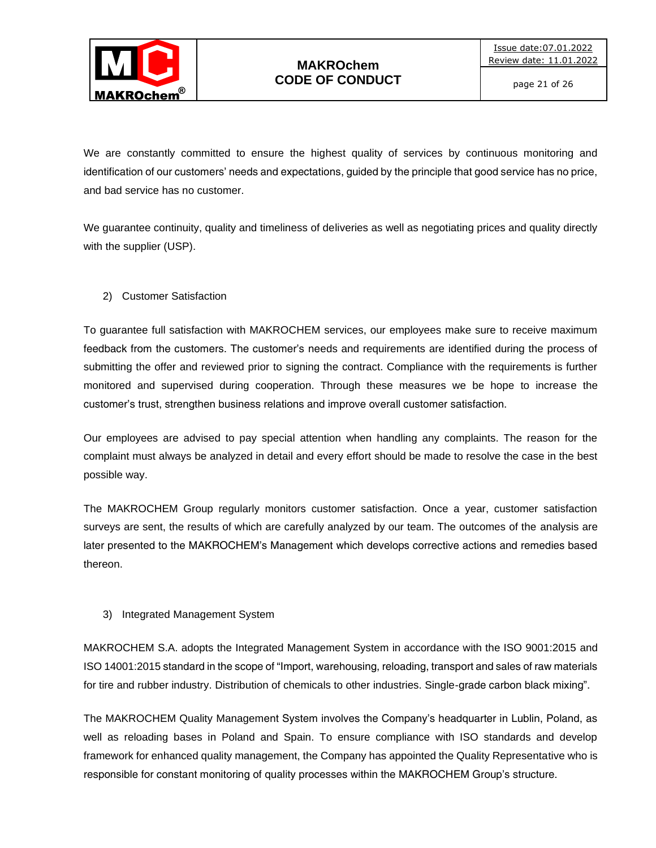

We are constantly committed to ensure the highest quality of services by continuous monitoring and identification of our customers' needs and expectations, guided by the principle that good service has no price, and bad service has no customer.

We guarantee continuity, quality and timeliness of deliveries as well as negotiating prices and quality directly with the supplier (USP).

### <span id="page-20-0"></span>2) Customer Satisfaction

To guarantee full satisfaction with MAKROCHEM services, our employees make sure to receive maximum feedback from the customers. The customer's needs and requirements are identified during the process of submitting the offer and reviewed prior to signing the contract. Compliance with the requirements is further monitored and supervised during cooperation. Through these measures we be hope to increase the customer's trust, strengthen business relations and improve overall customer satisfaction.

Our employees are advised to pay special attention when handling any complaints. The reason for the complaint must always be analyzed in detail and every effort should be made to resolve the case in the best possible way.

The MAKROCHEM Group regularly monitors customer satisfaction. Once a year, customer satisfaction surveys are sent, the results of which are carefully analyzed by our team. The outcomes of the analysis are later presented to the MAKROCHEM's Management which develops corrective actions and remedies based thereon.

### <span id="page-20-1"></span>3) Integrated Management System

MAKROCHEM S.A. adopts the Integrated Management System in accordance with the ISO 9001:2015 and ISO 14001:2015 standard in the scope of "Import, warehousing, reloading, transport and sales of raw materials for tire and rubber industry. Distribution of chemicals to other industries. Single-grade carbon black mixing".

The MAKROCHEM Quality Management System involves the Company's headquarter in Lublin, Poland, as well as reloading bases in Poland and Spain. To ensure compliance with ISO standards and develop framework for enhanced quality management, the Company has appointed the Quality Representative who is responsible for constant monitoring of quality processes within the MAKROCHEM Group's structure.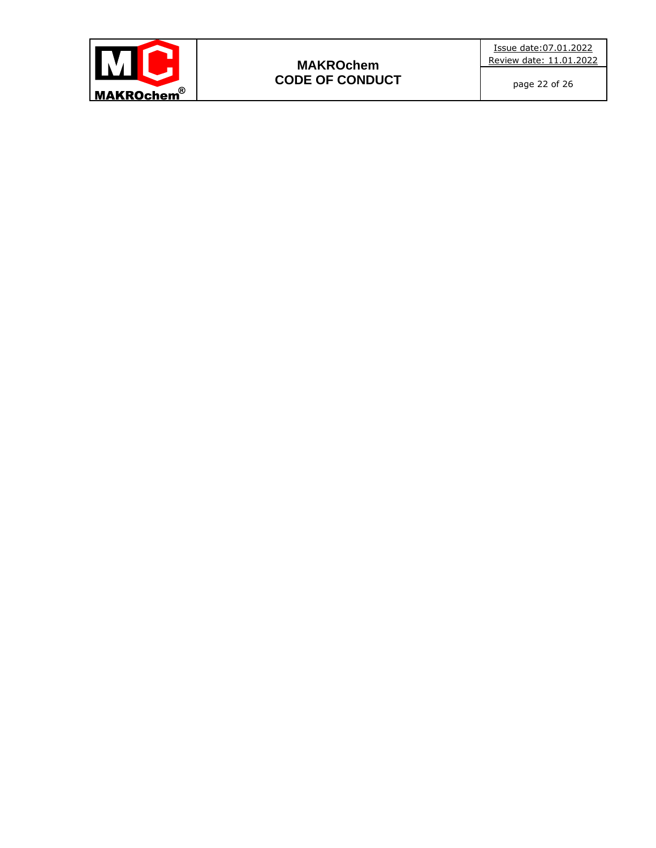

# **MAKROchem CODE OF CONDUCT**

Issue date: 0 7.0 1.20 2 2 Review date: 11.0 1.202 2

page 22 of 26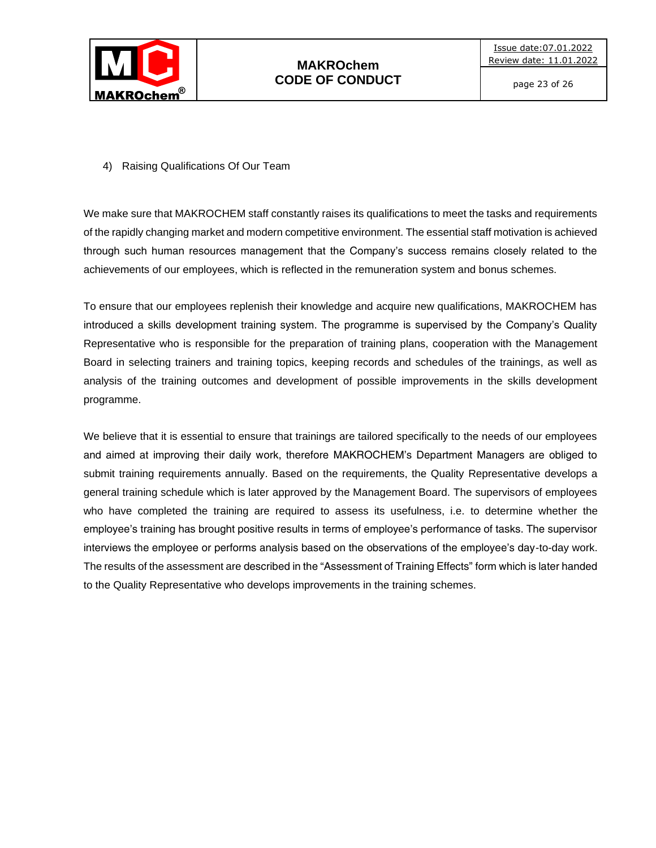

<span id="page-22-0"></span>4) Raising Qualifications Of Our Team

We make sure that MAKROCHEM staff constantly raises its qualifications to meet the tasks and requirements of the rapidly changing market and modern competitive environment. The essential staff motivation is achieved through such human resources management that the Company's success remains closely related to the achievements of our employees, which is reflected in the remuneration system and bonus schemes.

To ensure that our employees replenish their knowledge and acquire new qualifications, MAKROCHEM has introduced a skills development training system. The programme is supervised by the Company's Quality Representative who is responsible for the preparation of training plans, cooperation with the Management Board in selecting trainers and training topics, keeping records and schedules of the trainings, as well as analysis of the training outcomes and development of possible improvements in the skills development programme.

We believe that it is essential to ensure that trainings are tailored specifically to the needs of our employees and aimed at improving their daily work, therefore MAKROCHEM's Department Managers are obliged to submit training requirements annually. Based on the requirements, the Quality Representative develops a general training schedule which is later approved by the Management Board. The supervisors of employees who have completed the training are required to assess its usefulness, i.e. to determine whether the employee's training has brought positive results in terms of employee's performance of tasks. The supervisor interviews the employee or performs analysis based on the observations of the employee's day-to-day work. The results of the assessment are described in the "Assessment of Training Effects" form which is later handed to the Quality Representative who develops improvements in the training schemes.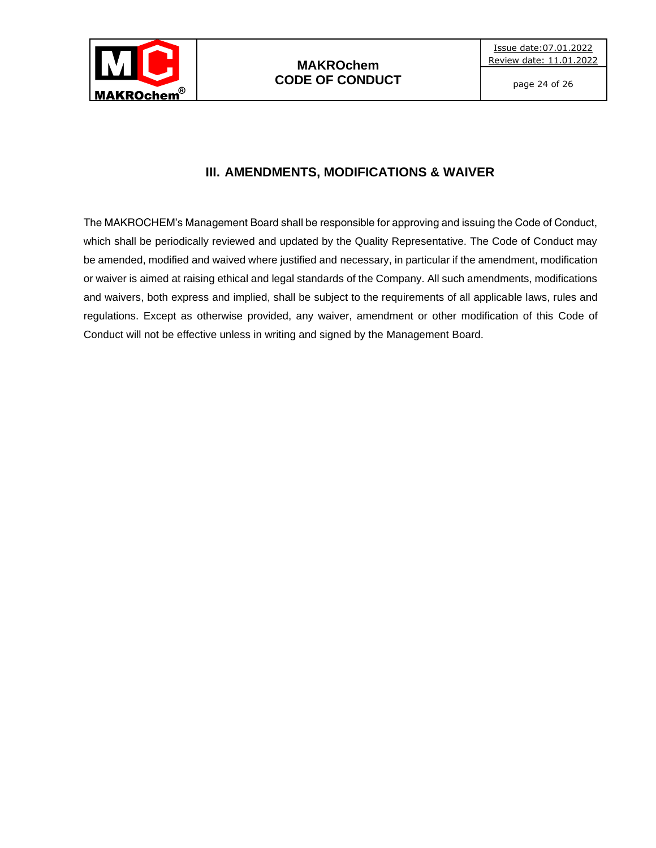

# **MAKROchem CODE OF CONDUCT**

# **III. AMENDMENTS, MODIFICATIONS & WAIVER**

<span id="page-23-0"></span>The MAKROCHEM's Management Board shall be responsible for approving and issuing the Code of Conduct, which shall be periodically reviewed and updated by the Quality Representative. The Code of Conduct may be amended, modified and waived where justified and necessary, in particular if the amendment, modification or waiver is aimed at raising ethical and legal standards of the Company. All such amendments, modifications and waivers, both express and implied, shall be subject to the requirements of all applicable laws, rules and regulations. Except as otherwise provided, any waiver, amendment or other modification of this Code of Conduct will not be effective unless in writing and signed by the Management Board.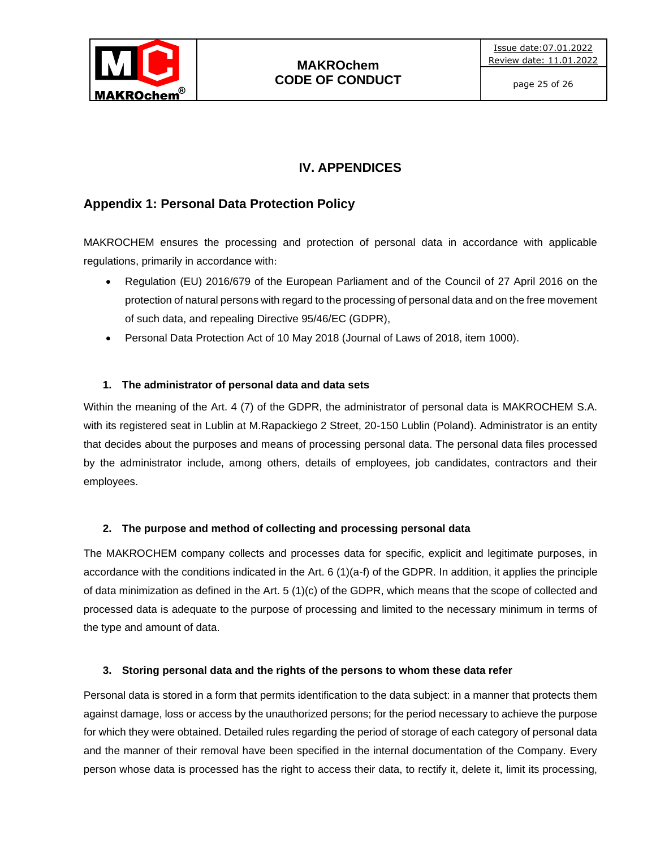

## **MAKROchem CODE OF CONDUCT**

## **IV. APPENDICES**

## <span id="page-24-1"></span><span id="page-24-0"></span>**Appendix 1: Personal Data Protection Policy**

MAKROCHEM ensures the processing and protection of personal data in accordance with applicable regulations, primarily in accordance with:

- Regulation (EU) 2016/679 of the European Parliament and of the Council of 27 April 2016 on the protection of natural persons with regard to the processing of personal data and on the free movement of such data, and repealing Directive 95/46/EC (GDPR),
- Personal Data Protection Act of 10 May 2018 (Journal of Laws of 2018, item 1000).

### **1. The administrator of personal data and data sets**

Within the meaning of the Art. 4 (7) of the GDPR, the administrator of personal data is MAKROCHEM S.A. with its registered seat in Lublin at M.Rapackiego 2 Street, 20-150 Lublin (Poland). Administrator is an entity that decides about the purposes and means of processing personal data. The personal data files processed by the administrator include, among others, details of employees, job candidates, contractors and their employees.

### **2. The purpose and method of collecting and processing personal data**

The MAKROCHEM company collects and processes data for specific, explicit and legitimate purposes, in accordance with the conditions indicated in the Art. 6 (1)(a-f) of the GDPR. In addition, it applies the principle of data minimization as defined in the Art. 5 (1)(c) of the GDPR, which means that the scope of collected and processed data is adequate to the purpose of processing and limited to the necessary minimum in terms of the type and amount of data.

### **3. Storing personal data and the rights of the persons to whom these data refer**

Personal data is stored in a form that permits identification to the data subject: in a manner that protects them against damage, loss or access by the unauthorized persons; for the period necessary to achieve the purpose for which they were obtained. Detailed rules regarding the period of storage of each category of personal data and the manner of their removal have been specified in the internal documentation of the Company. Every person whose data is processed has the right to access their data, to rectify it, delete it, limit its processing,